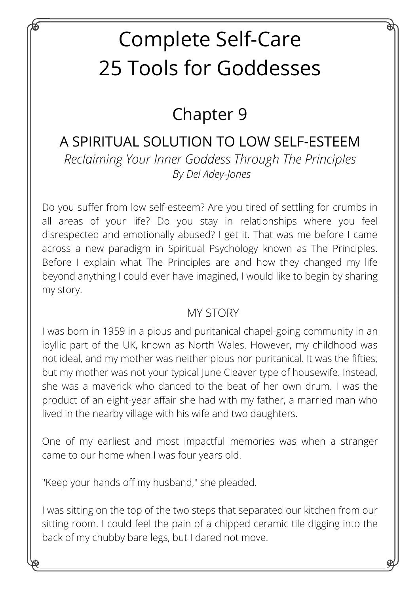# Complete Self-Care 25 Tools for Goddesses

## Chapter 9

### *Reclaiming Your Inner Goddess Through The Principles* A SPIRITUAL SOLUTION TO LOW SELF-ESTEEM *By Del Adey-Jones*

Do you suffer from low self-esteem? Are you tired of settling for crumbs in all areas of your life? Do you stay in relationships where you feel disrespected and emotionally abused? I get it. That was me before I came across a new paradigm in Spiritual Psychology known as The Principles. Before I explain what The Principles are and how they changed my life beyond anything I could ever have imagined, I would like to begin by sharing my story.

#### MY STORY

I was born in 1959 in a pious and puritanical chapel-going community in an idyllic part of the UK, known as North Wales. However, my childhood was not ideal, and my mother was neither pious nor puritanical. It was the fifties, but my mother was not your typical June Cleaver type of housewife. Instead, she was a maverick who danced to the beat of her own drum. I was the product of an eight-year affair she had with my father, a married man who lived in the nearby village with his wife and two daughters.

One of my earliest and most impactful memories was when a stranger came to our home when I was four years old.

"Keep your hands off my husband," she pleaded.

I was sitting on the top of the two steps that separated our kitchen from our sitting room. I could feel the pain of a chipped ceramic tile digging into the back of my chubby bare legs, but I dared not move.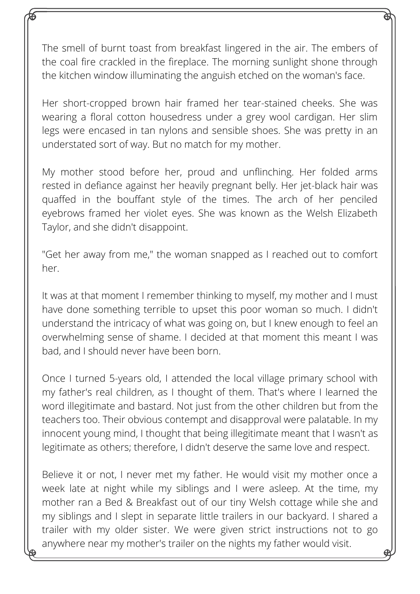The smell of burnt toast from breakfast lingered in the air. The embers of the coal fire crackled in the fireplace. The morning sunlight shone through the kitchen window illuminating the anguish etched on the woman's face.

Her short-cropped brown hair framed her tear-stained cheeks. She was wearing a floral cotton housedress under a grey wool cardigan. Her slim legs were encased in tan nylons and sensible shoes. She was pretty in an understated sort of way. But no match for my mother.

My mother stood before her, proud and unflinching. Her folded arms rested in defiance against her heavily pregnant belly. Her jet-black hair was quaffed in the bouffant style of the times. The arch of her penciled eyebrows framed her violet eyes. She was known as the Welsh Elizabeth Taylor, and she didn't disappoint.

"Get her away from me," the woman snapped as I reached out to comfort her.

It was at that moment I remember thinking to myself, my mother and I must have done something terrible to upset this poor woman so much. I didn't understand the intricacy of what was going on, but I knew enough to feel an overwhelming sense of shame. I decided at that moment this meant I was bad, and I should never have been born.

Once I turned 5-years old, I attended the local village primary school with my father's real children, as I thought of them. That's where I learned the word illegitimate and bastard. Not just from the other children but from the teachers too. Their obvious contempt and disapproval were palatable. In my innocent young mind, I thought that being illegitimate meant that I wasn't as legitimate as others; therefore, I didn't deserve the same love and respect.

Believe it or not, I never met my father. He would visit my mother once a week late at night while my siblings and I were asleep. At the time, my mother ran a Bed & Breakfast out of our tiny Welsh cottage while she and my siblings and I slept in separate little trailers in our backyard. I shared a trailer with my older sister. We were given strict instructions not to go anywhere near my mother's trailer on the nights my father would visit.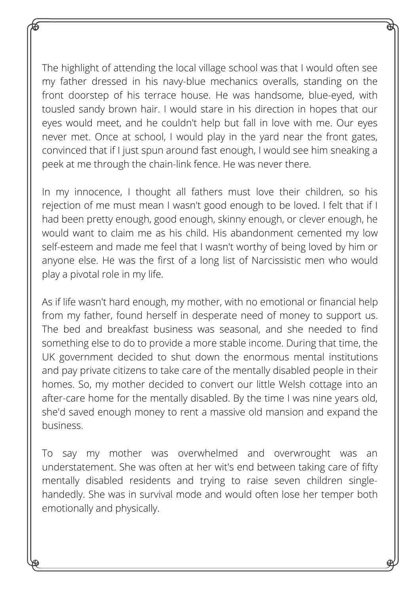The highlight of attending the local village school was that I would often see my father dressed in his navy-blue mechanics overalls, standing on the front doorstep of his terrace house. He was handsome, blue-eyed, with tousled sandy brown hair. I would stare in his direction in hopes that our eyes would meet, and he couldn't help but fall in love with me. Our eyes never met. Once at school, I would play in the yard near the front gates, convinced that if I just spun around fast enough, I would see him sneaking a peek at me through the chain-link fence. He was never there.

In my innocence, I thought all fathers must love their children, so his rejection of me must mean I wasn't good enough to be loved. I felt that if I had been pretty enough, good enough, skinny enough, or clever enough, he would want to claim me as his child. His abandonment cemented my low self-esteem and made me feel that I wasn't worthy of being loved by him or anyone else. He was the first of a long list of Narcissistic men who would play a pivotal role in my life.

As if life wasn't hard enough, my mother, with no emotional or financial help from my father, found herself in desperate need of money to support us. The bed and breakfast business was seasonal, and she needed to find something else to do to provide a more stable income. During that time, the UK government decided to shut down the enormous mental institutions and pay private citizens to take care of the mentally disabled people in their homes. So, my mother decided to convert our little Welsh cottage into an after-care home for the mentally disabled. By the time I was nine years old, she'd saved enough money to rent a massive old mansion and expand the business.

To say my mother was overwhelmed and overwrought was an understatement. She was often at her wit's end between taking care of fifty mentally disabled residents and trying to raise seven children singlehandedly. She was in survival mode and would often lose her temper both emotionally and physically.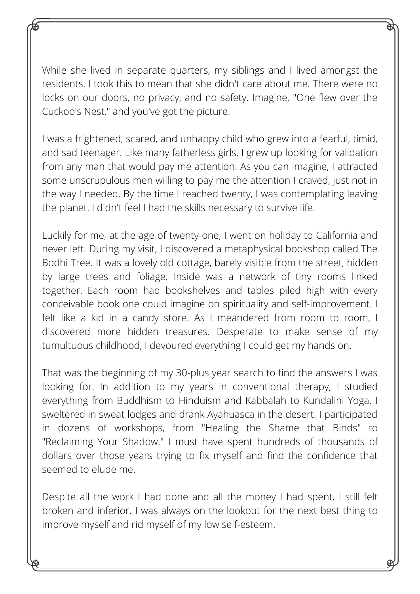While she lived in separate quarters, my siblings and I lived amongst the residents. I took this to mean that she didn't care about me. There were no locks on our doors, no privacy, and no safety. Imagine, "One flew over the Cuckoo's Nest," and you've got the picture.

I was a frightened, scared, and unhappy child who grew into a fearful, timid, and sad teenager. Like many fatherless girls, I grew up looking for validation from any man that would pay me attention. As you can imagine, I attracted some unscrupulous men willing to pay me the attention I craved, just not in the way I needed. By the time I reached twenty, I was contemplating leaving the planet. I didn't feel I had the skills necessary to survive life.

Luckily for me, at the age of twenty-one, I went on holiday to California and never left. During my visit, I discovered a metaphysical bookshop called The Bodhi Tree. It was a lovely old cottage, barely visible from the street, hidden by large trees and foliage. Inside was a network of tiny rooms linked together. Each room had bookshelves and tables piled high with every conceivable book one could imagine on spirituality and self-improvement. I felt like a kid in a candy store. As I meandered from room to room, I discovered more hidden treasures. Desperate to make sense of my tumultuous childhood, I devoured everything I could get my hands on.

That was the beginning of my 30-plus year search to find the answers I was looking for. In addition to my years in conventional therapy, I studied everything from Buddhism to Hinduism and Kabbalah to Kundalini Yoga. I sweltered in sweat lodges and drank Ayahuasca in the desert. I participated in dozens of workshops, from "Healing the Shame that Binds" to "Reclaiming Your Shadow." I must have spent hundreds of thousands of dollars over those years trying to fix myself and find the confidence that seemed to elude me.

Despite all the work I had done and all the money I had spent, I still felt broken and inferior. I was always on the lookout for the next best thing to improve myself and rid myself of my low self-esteem.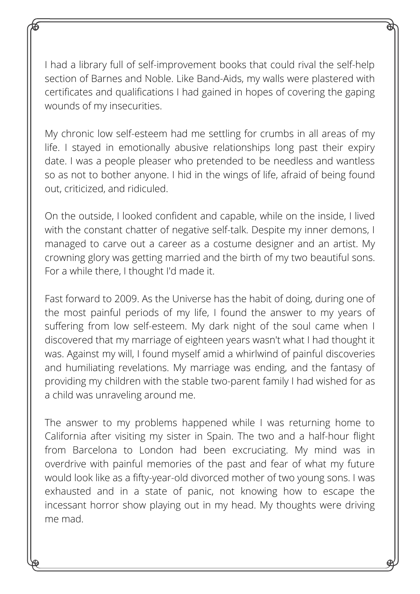I had a library full of self-improvement books that could rival the self-help section of Barnes and Noble. Like Band-Aids, my walls were plastered with certificates and qualifications I had gained in hopes of covering the gaping wounds of my insecurities.

My chronic low self-esteem had me settling for crumbs in all areas of my life. I stayed in emotionally abusive relationships long past their expiry date. I was a people pleaser who pretended to be needless and wantless so as not to bother anyone. I hid in the wings of life, afraid of being found out, criticized, and ridiculed.

On the outside, I looked confident and capable, while on the inside, I lived with the constant chatter of negative self-talk. Despite my inner demons, I managed to carve out a career as a costume designer and an artist. My crowning glory was getting married and the birth of my two beautiful sons. For a while there, I thought I'd made it.

Fast forward to 2009. As the Universe has the habit of doing, during one of the most painful periods of my life, I found the answer to my years of suffering from low self-esteem. My dark night of the soul came when I discovered that my marriage of eighteen years wasn't what I had thought it was. Against my will, I found myself amid a whirlwind of painful discoveries and humiliating revelations. My marriage was ending, and the fantasy of providing my children with the stable two-parent family I had wished for as a child was unraveling around me.

The answer to my problems happened while I was returning home to California after visiting my sister in Spain. The two and a half-hour flight from Barcelona to London had been excruciating. My mind was in overdrive with painful memories of the past and fear of what my future would look like as a fifty-year-old divorced mother of two young sons. I was exhausted and in a state of panic, not knowing how to escape the incessant horror show playing out in my head. My thoughts were driving me mad.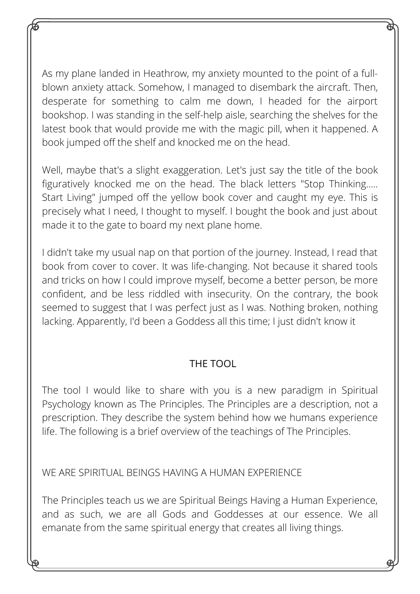As my plane landed in Heathrow, my anxiety mounted to the point of a fullblown anxiety attack. Somehow, I managed to disembark the aircraft. Then, desperate for something to calm me down, I headed for the airport bookshop. I was standing in the self-help aisle, searching the shelves for the latest book that would provide me with the magic pill, when it happened. A book jumped off the shelf and knocked me on the head.

Well, maybe that's a slight exaggeration. Let's just say the title of the book figuratively knocked me on the head. The black letters "Stop Thinking..... Start Living" jumped off the yellow book cover and caught my eye. This is precisely what I need, I thought to myself. I bought the book and just about made it to the gate to board my next plane home.

I didn't take my usual nap on that portion of the journey. Instead, I read that book from cover to cover. It was life-changing. Not because it shared tools and tricks on how I could improve myself, become a better person, be more confident, and be less riddled with insecurity. On the contrary, the book seemed to suggest that I was perfect just as I was. Nothing broken, nothing lacking. Apparently, I'd been a Goddess all this time; I just didn't know it

#### THE TOOL

The tool I would like to share with you is a new paradigm in Spiritual Psychology known as The Principles. The Principles are a description, not a prescription. They describe the system behind how we humans experience life. The following is a brief overview of the teachings of The Principles.

WE ARE SPIRITUAL BEINGS HAVING A HUMAN EXPERIENCE

The Principles teach us we are Spiritual Beings Having a Human Experience, and as such, we are all Gods and Goddesses at our essence. We all emanate from the same spiritual energy that creates all living things.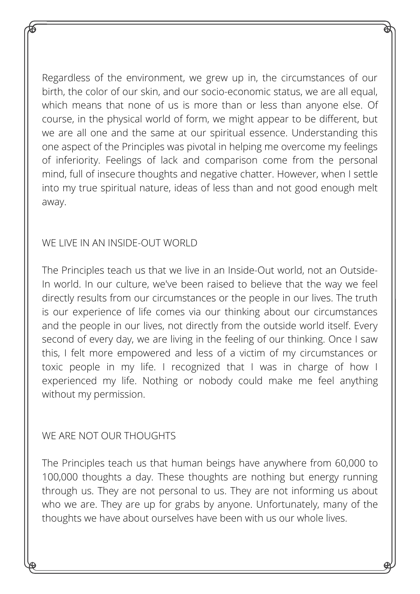Regardless of the environment, we grew up in, the circumstances of our birth, the color of our skin, and our socio-economic status, we are all equal, which means that none of us is more than or less than anyone else. Of course, in the physical world of form, we might appear to be different, but we are all one and the same at our spiritual essence. Understanding this one aspect of the Principles was pivotal in helping me overcome my feelings of inferiority. Feelings of lack and comparison come from the personal mind, full of insecure thoughts and negative chatter. However, when I settle into my true spiritual nature, ideas of less than and not good enough melt away.

#### WE LIVE IN AN INSIDE-OUT WORLD

The Principles teach us that we live in an Inside-Out world, not an Outside-In world. In our culture, we've been raised to believe that the way we feel directly results from our circumstances or the people in our lives. The truth is our experience of life comes via our thinking about our circumstances and the people in our lives, not directly from the outside world itself. Every second of every day, we are living in the feeling of our thinking. Once I saw this, I felt more empowered and less of a victim of my circumstances or toxic people in my life. I recognized that I was in charge of how I experienced my life. Nothing or nobody could make me feel anything without my permission.

#### WE ARE NOT OUR THOUGHTS

The Principles teach us that human beings have anywhere from 60,000 to 100,000 thoughts a day. These thoughts are nothing but energy running through us. They are not personal to us. They are not informing us about who we are. They are up for grabs by anyone. Unfortunately, many of the thoughts we have about ourselves have been with us our whole lives.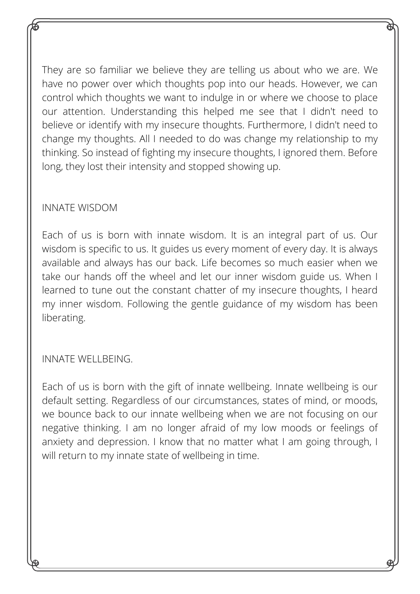They are so familiar we believe they are telling us about who we are. We have no power over which thoughts pop into our heads. However, we can control which thoughts we want to indulge in or where we choose to place our attention. Understanding this helped me see that I didn't need to believe or identify with my insecure thoughts. Furthermore, I didn't need to change my thoughts. All I needed to do was change my relationship to my thinking. So instead of fighting my insecure thoughts, I ignored them. Before long, they lost their intensity and stopped showing up.

#### INNATE WISDOM

Each of us is born with innate wisdom. It is an integral part of us. Our wisdom is specific to us. It guides us every moment of every day. It is always available and always has our back. Life becomes so much easier when we take our hands off the wheel and let our inner wisdom guide us. When I learned to tune out the constant chatter of my insecure thoughts, I heard my inner wisdom. Following the gentle guidance of my wisdom has been liberating.

#### INNATE WELLBEING.

Each of us is born with the gift of innate wellbeing. Innate wellbeing is our default setting. Regardless of our circumstances, states of mind, or moods, we bounce back to our innate wellbeing when we are not focusing on our negative thinking. I am no longer afraid of my low moods or feelings of anxiety and depression. I know that no matter what I am going through, I will return to my innate state of wellbeing in time.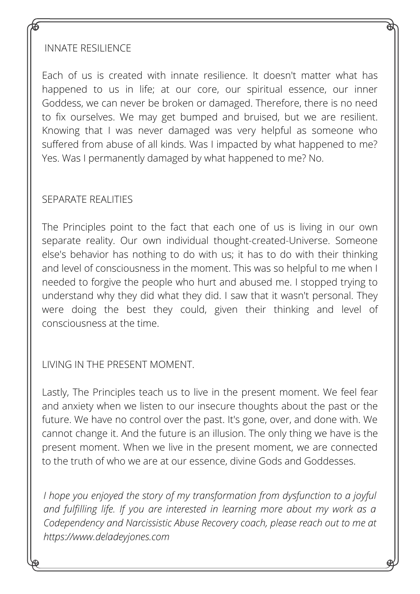#### INNATE RESILIENCE

Each of us is created with innate resilience. It doesn't matter what has happened to us in life; at our core, our spiritual essence, our inner Goddess, we can never be broken or damaged. Therefore, there is no need to fix ourselves. We may get bumped and bruised, but we are resilient. Knowing that I was never damaged was very helpful as someone who suffered from abuse of all kinds. Was I impacted by what happened to me? Yes. Was I permanently damaged by what happened to me? No.

#### SEPARATE REALITIES

The Principles point to the fact that each one of us is living in our own separate reality. Our own individual thought-created-Universe. Someone else's behavior has nothing to do with us; it has to do with their thinking and level of consciousness in the moment. This was so helpful to me when I needed to forgive the people who hurt and abused me. I stopped trying to understand why they did what they did. I saw that it wasn't personal. They were doing the best they could, given their thinking and level of consciousness at the time.

LIVING IN THE PRESENT MOMENT.

Lastly, The Principles teach us to live in the present moment. We feel fear and anxiety when we listen to our insecure thoughts about the past or the future. We have no control over the past. It's gone, over, and done with. We cannot change it. And the future is an illusion. The only thing we have is the present moment. When we live in the present moment, we are connected to the truth of who we are at our essence, divine Gods and Goddesses.

*I hope you enjoyed the story of my transformation from dysfunction to a joyful and fulfilling life. If you are interested in learning more about my work as a Codependency and Narcissistic Abuse Recovery coach, please reach out to me at https://www.deladeyjones.com*